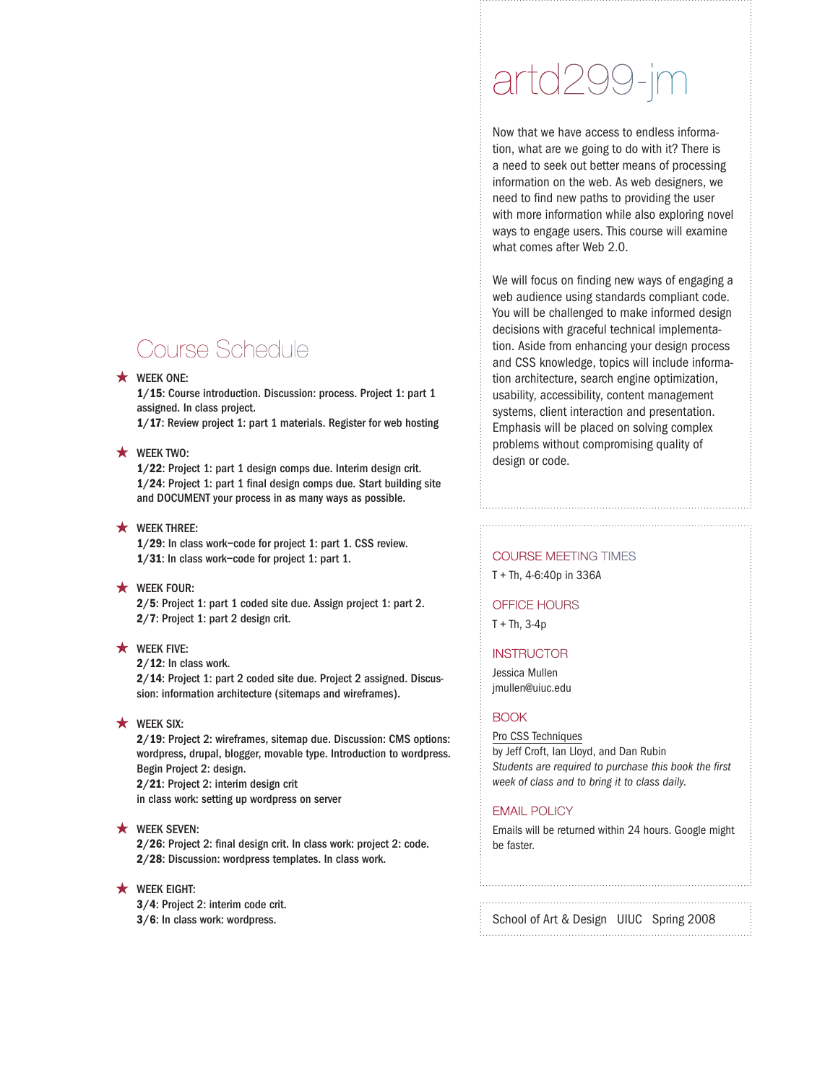# Course Schedule

# $\star$  WEEK ONE:

1/15: Course introduction. Discussion: process. Project 1: part 1 assigned. In class project.

1/17: Review project 1: part 1 materials. Register for web hosting

# **\*** WEEK TWO:

1/22: Project 1: part 1 design comps due. Interim design crit. 1/24: Project 1: part 1 final design comps due. Start building site and DOCUMENT your process in as many ways as possible.

# $\star$  WEEK THREE:

1/29: In class work–code for project 1: part 1. CSS review. 1/31: In class work–code for project 1: part 1.

# **\*** WEEK FOUR:

2/5: Project 1: part 1 coded site due. Assign project 1: part 2. 2/7: Project 1: part 2 design crit.

# $\star$  WEEK FIVE:

2/12: In class work.

2/14: Project 1: part 2 coded site due. Project 2 assigned. Discussion: information architecture (sitemaps and wireframes).

# $\star$  WEEK SIX:

2/19: Project 2: wireframes, sitemap due. Discussion: CMS options: wordpress, drupal, blogger, movable type. Introduction to wordpress. Begin Project 2: design. 2/21: Project 2: interim design crit in class work: setting up wordpress on server

# **\*** WEEK SEVEN:

2/26: Project 2: final design crit. In class work: project 2: code. 2/28: Discussion: wordpress templates. In class work.

# $\star$  WEEK EIGHT:

3/4: Project 2: interim code crit. 3/6: In class work: wordpress.

# artd299-jm

Now that we have access to endless information, what are we going to do with it? There is a need to seek out better means of processing information on the web. As web designers, we need to find new paths to providing the user with more information while also exploring novel ways to engage users. This course will examine what comes after Web 2.0.

We will focus on finding new ways of engaging a web audience using standards compliant code. You will be challenged to make informed design decisions with graceful technical implementation. Aside from enhancing your design process and CSS knowledge, topics will include information architecture, search engine optimization, usability, accessibility, content management systems, client interaction and presentation. Emphasis will be placed on solving complex problems without compromising quality of design or code.

# COURSE MEETING TIMES

T + Th, 4-6:40p in 336A

#### OFFICE HOURS

 $T + Th$ , 3-4p

#### **INSTRUCTOR**

Jessica Mullen jmullen@uiuc.edu

#### BOOK

Pro CSS Techniques by Jeff Croft, Ian Lloyd, and Dan Rubin *Students are required to purchase this book the first week of class and to bring it to class daily.* 

#### EMAIL POLICY

Emails will be returned within 24 hours. Google might be faster.

# School of Art & Design UIUC Spring 2008